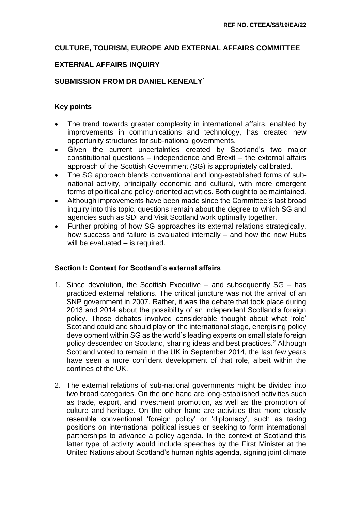# **CULTURE, TOURISM, EUROPE AND EXTERNAL AFFAIRS COMMITTEE**

### **EXTERNAL AFFAIRS INQUIRY**

# **SUBMISSION FROM DR DANIEL KENEALY**<sup>1</sup>

## **Key points**

- The trend towards greater complexity in international affairs, enabled by improvements in communications and technology, has created new opportunity structures for sub-national governments.
- Given the current uncertainties created by Scotland's two major constitutional questions – independence and Brexit – the external affairs approach of the Scottish Government (SG) is appropriately calibrated.
- The SG approach blends conventional and long-established forms of subnational activity, principally economic and cultural, with more emergent forms of political and policy-oriented activities. Both ought to be maintained.
- Although improvements have been made since the Committee's last broad inquiry into this topic, questions remain about the degree to which SG and agencies such as SDI and Visit Scotland work optimally together.
- Further probing of how SG approaches its external relations strategically, how success and failure is evaluated internally – and how the new Hubs will be evaluated – is required.

### **Section I: Context for Scotland's external affairs**

- 1. Since devolution, the Scottish Executive and subsequently SG has practiced external relations. The critical juncture was not the arrival of an SNP government in 2007. Rather, it was the debate that took place during 2013 and 2014 about the possibility of an independent Scotland's foreign policy. Those debates involved considerable thought about what 'role' Scotland could and should play on the international stage, energising policy development within SG as the world's leading experts on small state foreign policy descended on Scotland, sharing ideas and best practices.<sup>2</sup> Although Scotland voted to remain in the UK in September 2014, the last few years have seen a more confident development of that role, albeit within the confines of the UK.
- 2. The external relations of sub-national governments might be divided into two broad categories. On the one hand are long-established activities such as trade, export, and investment promotion, as well as the promotion of culture and heritage. On the other hand are activities that more closely resemble conventional 'foreign policy' or 'diplomacy', such as taking positions on international political issues or seeking to form international partnerships to advance a policy agenda. In the context of Scotland this latter type of activity would include speeches by the First Minister at the United Nations about Scotland's human rights agenda, signing joint climate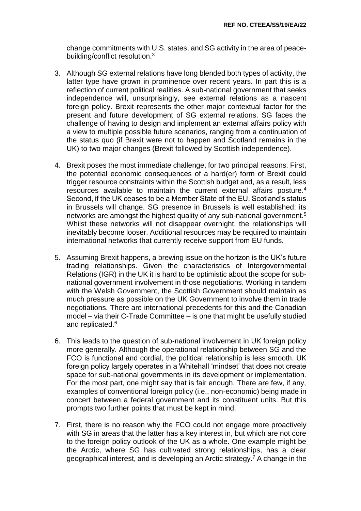change commitments with U.S. states, and SG activity in the area of peacebuilding/conflict resolution.<sup>3</sup>

- 3. Although SG external relations have long blended both types of activity, the latter type have grown in prominence over recent years. In part this is a reflection of current political realities. A sub-national government that seeks independence will, unsurprisingly, see external relations as a nascent foreign policy. Brexit represents the other major contextual factor for the present and future development of SG external relations. SG faces the challenge of having to design and implement an external affairs policy with a view to multiple possible future scenarios, ranging from a continuation of the status quo (if Brexit were not to happen and Scotland remains in the UK) to two major changes (Brexit followed by Scottish independence).
- 4. Brexit poses the most immediate challenge, for two principal reasons. First, the potential economic consequences of a hard(er) form of Brexit could trigger resource constraints within the Scottish budget and, as a result, less resources available to maintain the current external affairs posture.<sup>4</sup> Second, if the UK ceases to be a Member State of the EU, Scotland's status in Brussels will change. SG presence in Brussels is well established: its networks are amongst the highest quality of any sub-national government.<sup>5</sup> Whilst these networks will not disappear overnight, the relationships will inevitably become looser. Additional resources may be required to maintain international networks that currently receive support from EU funds.
- 5. Assuming Brexit happens, a brewing issue on the horizon is the UK's future trading relationships. Given the characteristics of Intergovernmental Relations (IGR) in the UK it is hard to be optimistic about the scope for subnational government involvement in those negotiations. Working in tandem with the Welsh Government, the Scottish Government should maintain as much pressure as possible on the UK Government to involve them in trade negotiations. There are international precedents for this and the Canadian model – via their C-Trade Committee – is one that might be usefully studied and replicated.<sup>6</sup>
- 6. This leads to the question of sub-national involvement in UK foreign policy more generally. Although the operational relationship between SG and the FCO is functional and cordial, the political relationship is less smooth. UK foreign policy largely operates in a Whitehall 'mindset' that does not create space for sub-national governments in its development or implementation. For the most part, one might say that is fair enough. There are few, if any, examples of conventional foreign policy (i.e., non-economic) being made in concert between a federal government and its constituent units. But this prompts two further points that must be kept in mind.
- 7. First, there is no reason why the FCO could not engage more proactively with SG in areas that the latter has a key interest in, but which are not core to the foreign policy outlook of the UK as a whole. One example might be the Arctic, where SG has cultivated strong relationships, has a clear geographical interest, and is developing an Arctic strategy.<sup>7</sup> A change in the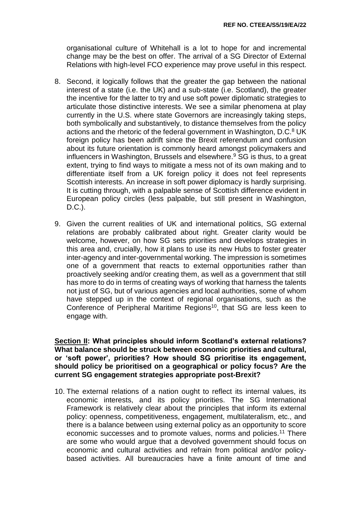organisational culture of Whitehall is a lot to hope for and incremental change may be the best on offer. The arrival of a SG Director of External Relations with high-level FCO experience may prove useful in this respect.

- 8. Second, it logically follows that the greater the gap between the national interest of a state (i.e. the UK) and a sub-state (i.e. Scotland), the greater the incentive for the latter to try and use soft power diplomatic strategies to articulate those distinctive interests. We see a similar phenomena at play currently in the U.S. where state Governors are increasingly taking steps, both symbolically and substantively, to distance themselves from the policy actions and the rhetoric of the federal government in Washington, D.C.<sup>8</sup> UK foreign policy has been adrift since the Brexit referendum and confusion about its future orientation is commonly heard amongst policymakers and influencers in Washington, Brussels and elsewhere.<sup>9</sup> SG is thus, to a great extent, trying to find ways to mitigate a mess not of its own making and to differentiate itself from a UK foreign policy it does not feel represents Scottish interests. An increase in soft power diplomacy is hardly surprising. It is cutting through, with a palpable sense of Scottish difference evident in European policy circles (less palpable, but still present in Washington, D.C.).
- 9. Given the current realities of UK and international politics, SG external relations are probably calibrated about right. Greater clarity would be welcome, however, on how SG sets priorities and develops strategies in this area and, crucially, how it plans to use its new Hubs to foster greater inter-agency and inter-governmental working. The impression is sometimes one of a government that reacts to external opportunities rather than proactively seeking and/or creating them, as well as a government that still has more to do in terms of creating ways of working that harness the talents not just of SG, but of various agencies and local authorities, some of whom have stepped up in the context of regional organisations, such as the Conference of Peripheral Maritime Regions<sup>10</sup>, that SG are less keen to engage with.

**Section II: What principles should inform Scotland's external relations? What balance should be struck between economic priorities and cultural, or 'soft power', priorities? How should SG prioritise its engagement, should policy be prioritised on a geographical or policy focus? Are the current SG engagement strategies appropriate post-Brexit?**

10. The external relations of a nation ought to reflect its internal values, its economic interests, and its policy priorities. The SG International Framework is relatively clear about the principles that inform its external policy: openness, competitiveness, engagement, multilateralism, etc., and there is a balance between using external policy as an opportunity to score economic successes and to promote values, norms and policies.<sup>11</sup> There are some who would argue that a devolved government should focus on economic and cultural activities and refrain from political and/or policybased activities. All bureaucracies have a finite amount of time and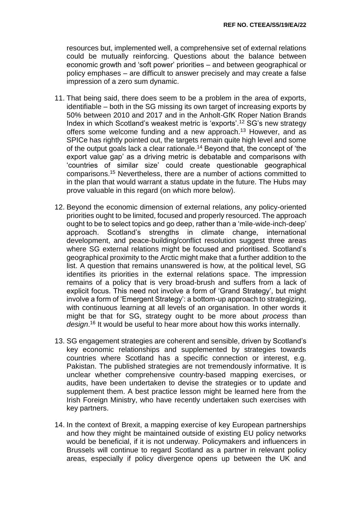resources but, implemented well, a comprehensive set of external relations could be mutually reinforcing. Questions about the balance between economic growth and 'soft power' priorities – and between geographical or policy emphases – are difficult to answer precisely and may create a false impression of a zero sum dynamic.

- 11. That being said, there does seem to be a problem in the area of exports, identifiable – both in the SG missing its own target of increasing exports by 50% between 2010 and 2017 and in the Anholt-GfK Roper Nation Brands Index in which Scotland's weakest metric is 'exports'.<sup>12</sup> SG's new strategy offers some welcome funding and a new approach.<sup>13</sup> However, and as SPICe has rightly pointed out, the targets remain quite high level and some of the output goals lack a clear rationale.<sup>14</sup> Beyond that, the concept of 'the export value gap' as a driving metric is debatable and comparisons with 'countries of similar size' could create questionable geographical comparisons.<sup>15</sup> Nevertheless, there are a number of actions committed to in the plan that would warrant a status update in the future. The Hubs may prove valuable in this regard (on which more below).
- 12. Beyond the economic dimension of external relations, any policy-oriented priorities ought to be limited, focused and properly resourced. The approach ought to be to select topics and go deep, rather than a 'mile-wide-inch-deep' approach. Scotland's strengths in climate change, international development, and peace-building/conflict resolution suggest three areas where SG external relations might be focused and prioritised. Scotland's geographical proximity to the Arctic might make that a further addition to the list. A question that remains unanswered is how, at the political level, SG identifies its priorities in the external relations space. The impression remains of a policy that is very broad-brush and suffers from a lack of explicit focus. This need not involve a form of 'Grand Strategy', but might involve a form of 'Emergent Strategy': a bottom-up approach to strategizing, with continuous learning at all levels of an organisation. In other words it might be that for SG, strategy ought to be more about *process* than *design*. <sup>16</sup> It would be useful to hear more about how this works internally.
- 13. SG engagement strategies are coherent and sensible, driven by Scotland's key economic relationships and supplemented by strategies towards countries where Scotland has a specific connection or interest, e.g. Pakistan. The published strategies are not tremendously informative. It is unclear whether comprehensive country-based mapping exercises, or audits, have been undertaken to devise the strategies or to update and supplement them. A best practice lesson might be learned here from the Irish Foreign Ministry, who have recently undertaken such exercises with key partners.
- 14. In the context of Brexit, a mapping exercise of key European partnerships and how they might be maintained outside of existing EU policy networks would be beneficial, if it is not underway. Policymakers and influencers in Brussels will continue to regard Scotland as a partner in relevant policy areas, especially if policy divergence opens up between the UK and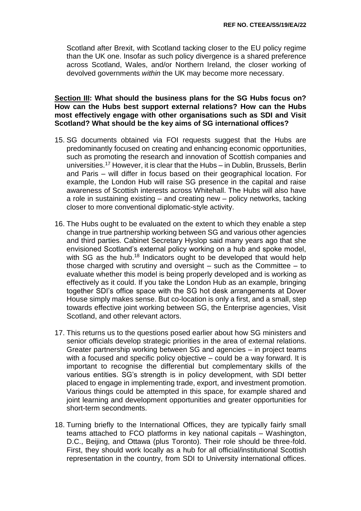Scotland after Brexit, with Scotland tacking closer to the EU policy regime than the UK one. Insofar as such policy divergence is a shared preference across Scotland, Wales, and/or Northern Ireland, the closer working of devolved governments *within* the UK may become more necessary.

#### **Section III: What should the business plans for the SG Hubs focus on? How can the Hubs best support external relations? How can the Hubs most effectively engage with other organisations such as SDI and Visit Scotland? What should be the key aims of SG international offices?**

- 15. SG documents obtained via FOI requests suggest that the Hubs are predominantly focused on creating and enhancing economic opportunities, such as promoting the research and innovation of Scottish companies and universities.<sup>17</sup> However, it is clear that the Hubs – in Dublin, Brussels, Berlin and Paris – will differ in focus based on their geographical location. For example, the London Hub will raise SG presence in the capital and raise awareness of Scottish interests across Whitehall. The Hubs will also have a role in sustaining existing – and creating new – policy networks, tacking closer to more conventional diplomatic-style activity.
- 16. The Hubs ought to be evaluated on the extent to which they enable a step change in true partnership working between SG and various other agencies and third parties. Cabinet Secretary Hyslop said many years ago that she envisioned Scotland's external policy working on a hub and spoke model, with SG as the hub.<sup>18</sup> Indicators ought to be developed that would help those charged with scrutiny and oversight – such as the Committee – to evaluate whether this model is being properly developed and is working as effectively as it could. If you take the London Hub as an example, bringing together SDI's office space with the SG hot desk arrangements at Dover House simply makes sense. But co-location is only a first, and a small, step towards effective joint working between SG, the Enterprise agencies, Visit Scotland, and other relevant actors.
- 17. This returns us to the questions posed earlier about how SG ministers and senior officials develop strategic priorities in the area of external relations. Greater partnership working between SG and agencies – in project teams with a focused and specific policy objective – could be a way forward. It is important to recognise the differential but complementary skills of the various entities. SG's strength is in policy development, with SDI better placed to engage in implementing trade, export, and investment promotion. Various things could be attempted in this space, for example shared and joint learning and development opportunities and greater opportunities for short-term secondments.
- 18. Turning briefly to the International Offices, they are typically fairly small teams attached to FCO platforms in key national capitals – Washington, D.C., Beijing, and Ottawa (plus Toronto). Their role should be three-fold. First, they should work locally as a hub for all official/institutional Scottish representation in the country, from SDI to University international offices.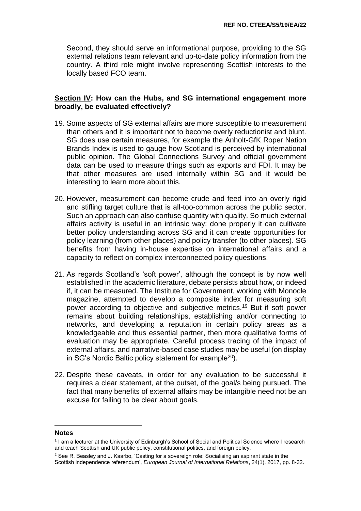Second, they should serve an informational purpose, providing to the SG external relations team relevant and up-to-date policy information from the country. A third role might involve representing Scottish interests to the locally based FCO team.

#### **Section IV: How can the Hubs, and SG international engagement more broadly, be evaluated effectively?**

- 19. Some aspects of SG external affairs are more susceptible to measurement than others and it is important not to become overly reductionist and blunt. SG does use certain measures, for example the Anholt-GfK Roper Nation Brands Index is used to gauge how Scotland is perceived by international public opinion. The Global Connections Survey and official government data can be used to measure things such as exports and FDI. It may be that other measures are used internally within SG and it would be interesting to learn more about this.
- 20. However, measurement can become crude and feed into an overly rigid and stifling target culture that is all-too-common across the public sector. Such an approach can also confuse quantity with quality. So much external affairs activity is useful in an intrinsic way: done properly it can cultivate better policy understanding across SG and it can create opportunities for policy learning (from other places) and policy transfer (to other places). SG benefits from having in-house expertise on international affairs and a capacity to reflect on complex interconnected policy questions.
- 21. As regards Scotland's 'soft power', although the concept is by now well established in the academic literature, debate persists about how, or indeed if, it can be measured. The Institute for Government, working with Monocle magazine, attempted to develop a composite index for measuring soft power according to objective and subjective metrics.<sup>19</sup> But if soft power remains about building relationships, establishing and/or connecting to networks, and developing a reputation in certain policy areas as a knowledgeable and thus essential partner, then more qualitative forms of evaluation may be appropriate. Careful process tracing of the impact of external affairs, and narrative-based case studies may be useful (on display in SG's Nordic Baltic policy statement for example<sup>20</sup>).
- 22. Despite these caveats, in order for any evaluation to be successful it requires a clear statement, at the outset, of the goal/s being pursued. The fact that many benefits of external affairs may be intangible need not be an excuse for failing to be clear about goals.

#### **Notes**

 $\overline{a}$ 

<sup>1</sup> I am a lecturer at the University of Edinburgh's School of Social and Political Science where I research and teach Scottish and UK public policy, constitutional politics, and foreign policy.

 $2$  See R. Beasley and J. Kaarbo, 'Casting for a sovereign role: Socialising an aspirant state in the Scottish independence referendum', *European Journal of International Relations*, 24(1), 2017, pp. 8-32.